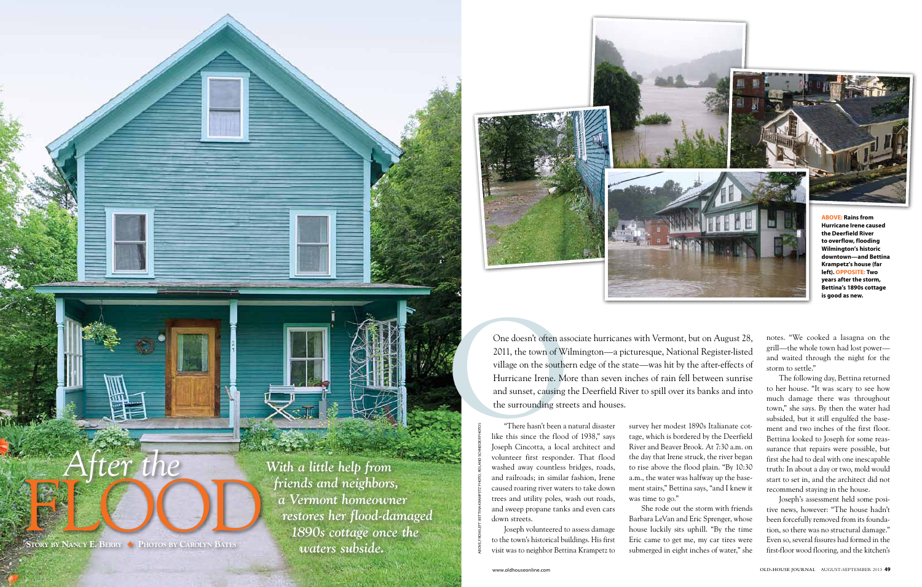

ABOVE, FROM LEFT: BETTINA KRAMPETZ PHOTO; ROLAND SCHNEIDER PHOTO

"There hasn't been a natural disaster like this since the flood of 1938," says Joseph Cincotta, a local architect and volunteer first responder. That flood washed away countless bridges, roads, and railroads; in similar fashion, Irene caused roaring river waters to take down trees and utility poles, wash out roads, and sweep propane tanks and even cars down streets.

Joseph volunteered to assess damage to the town's historical buildings. His first visit was to neighbor Bettina Krampetz to survey her modest 1890s Italianate cottage, which is bordered by the Deerfield River and Beaver Brook. At 7:30 a.m. on the day that Irene struck, the river began to rise above the flood plain. "By 10:30 a.m., the water was halfway up the basement stairs," Bettina says, "and I knew it was time to go."

One doesn't often associated and sunset, causing the southern Hurricane Irene. Moreover, causing the surrounding street and sunset, causing the surrounding street and like this since the flood loseph Cincotta, a local One doesn't often associate hurricanes with Vermont, but on August 28, 2011, the town of Wilmington—a picturesque, National Register-listed village on the southern edge of the state—was hit by the after-effects of Hurricane Irene. More than seven inches of rain fell between sunrise and sunset, causing the Deerfield River to spill over its banks and into the surrounding streets and houses.

> She rode out the storm with friends Barbara LeVan and Eric Sprenger, whose house luckily sits uphill. "By the time Eric came to get me, my car tires were submerged in eight inches of water," she

notes. "We cooked a lasagna on the grill—the whole town had lost power and waited through the night for the storm to settle."

The following day, Bettina returned to her house. "It was scary to see how much damage there was throughout town," she says. By then the water had subsided, but it still engulfed the basement and two inches of the first floor. Bettina looked to Joseph for some reassurance that repairs were possible, but first she had to deal with one inescapable truth: In about a day or two, mold would start to set in, and the architect did not recommend staying in the house.

Joseph's assessment held some positive news, however: "The house hadn't been forcefully removed from its foundation, so there was no structural damage." Even so, several fissures had formed in the first-floor wood flooring, and the kitchen's



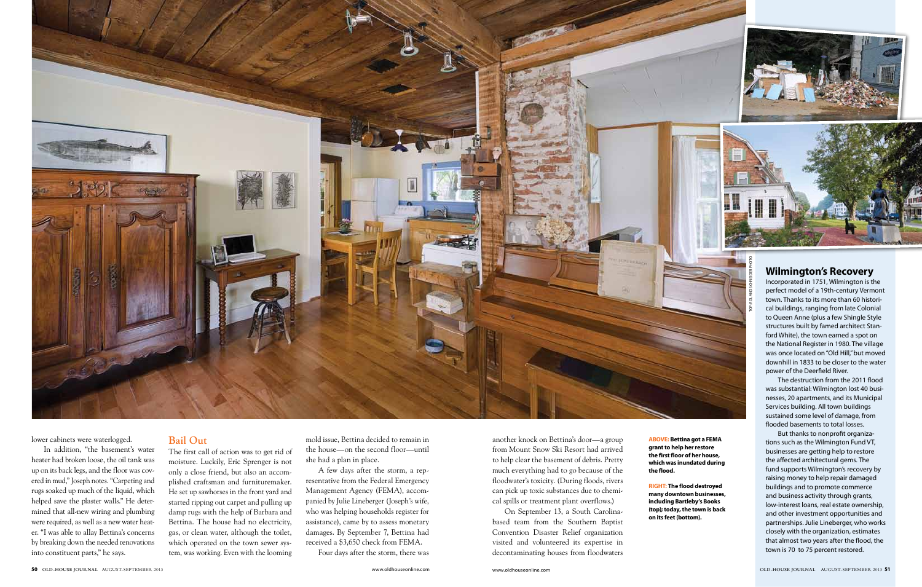flooded basements to total losses.

lower cabinets were waterlogged.

In addition, "the basement's water heater had broken loose, the oil tank was up on its back legs, and the floor was covered in mud," Joseph notes. "Carpeting and rugs soaked up much of the liquid, which helped save the plaster walls." He determined that all-new wiring and plumbing were required, as well as a new water heater. "I was able to allay Bettina's concerns by breaking down the needed renovations into constituent parts," he says.

## **Bail Out**

The first call of action was to get rid of moisture. Luckily, Eric Sprenger is not only a close friend, but also an accomplished craftsman and furnituremaker. He set up sawhorses in the front yard and started ripping out carpet and pulling up damp rugs with the help of Barbara and Bettina. The house had no electricity, gas, or clean water, although the toilet, which operated on the town sewer system, was working. Even with the looming mold issue, Bettina decided to remain in the house—on the second floor—until she had a plan in place.

A few days after the storm, a representative from the Federal Emergency Management Agency (FEMA), accompanied by Julie Lineberger (Joseph's wife, who was helping households register for assistance), came by to assess monetary damages. By September 7, Bettina had received a \$3,650 check from FEMA.

Four days after the storm, there was

another knock on Bettina's door—a group from Mount Snow Ski Resort had arrived to help clear the basement of debris. Pretty much everything had to go because of the floodwater's toxicity. (During floods, rivers can pick up toxic substances due to chemical spills or treatment plant overflows.)

But thanks to nonprofit organizations such as the Wilmington Fund VT, businesses are getting help to restore the affected architectural gems. The fund supports Wilmington's recovery by raising money to help repair damaged buildings and to promote commerce and business activity through grants, low-interest loans, real estate ownership, and other investment opportunities and partnerships. Julie Lineberger, who works closely with the organization, estimates that almost two years after the flood, the town is 70 to 75 percent restored.

On September 13, a South Carolinabased team from the Southern Baptist Convention Disaster Relief organization visited and volunteered its expertise in decontaminating houses from floodwaters **ABOVE: Bettina got a FEMA grant to help her restore the first floor of her house, which was inundated during the flood.**

**RIGHT: The flood destroyed many downtown businesses, including Bartleby's Books (top); today, the town is back on its feet (bottom).**